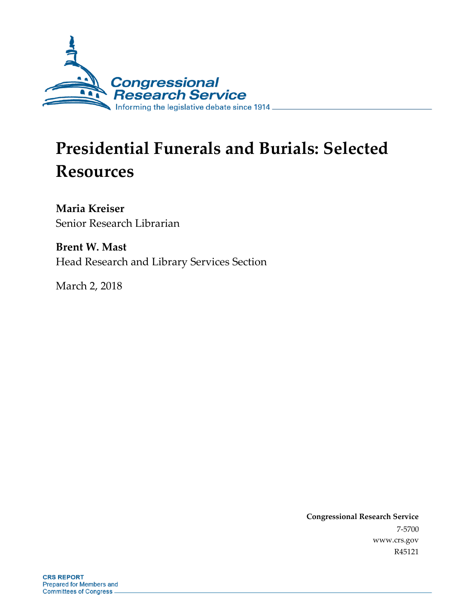

# **Presidential Funerals and Burials: Selected Resources**

**Maria Kreiser** Senior Research Librarian

**Brent W. Mast** Head Research and Library Services Section

March 2, 2018

**Congressional Research Service** 7-5700 www.crs.gov R45121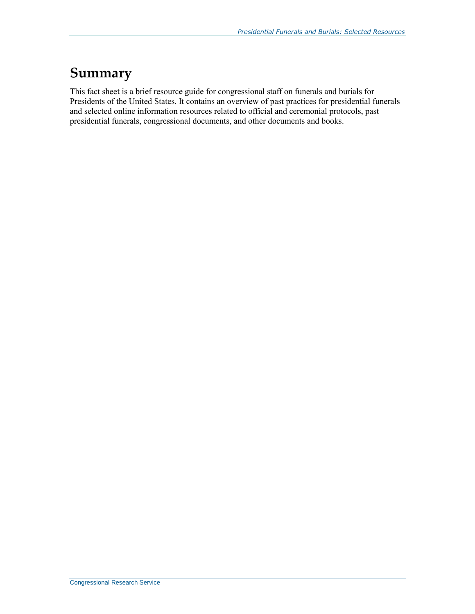# **Summary**

This fact sheet is a brief resource guide for congressional staff on funerals and burials for Presidents of the United States. It contains an overview of past practices for presidential funerals and selected online information resources related to official and ceremonial protocols, past presidential funerals, congressional documents, and other documents and books.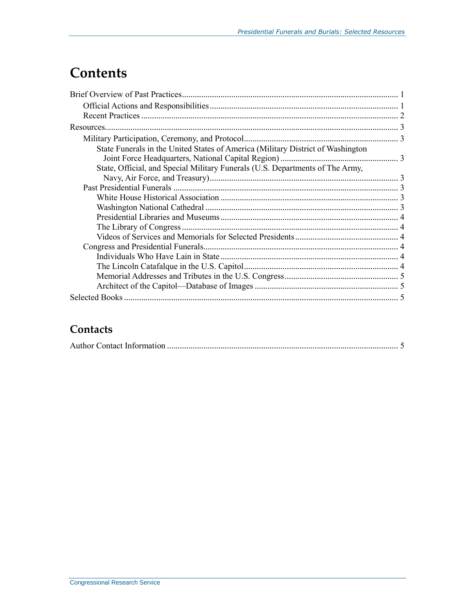# **Contents**

| State Funerals in the United States of America (Military District of Washington |  |
|---------------------------------------------------------------------------------|--|
|                                                                                 |  |
| State, Official, and Special Military Funerals (U.S. Departments of The Army,   |  |
|                                                                                 |  |
|                                                                                 |  |
|                                                                                 |  |
|                                                                                 |  |
|                                                                                 |  |
|                                                                                 |  |
|                                                                                 |  |
|                                                                                 |  |
|                                                                                 |  |
|                                                                                 |  |
|                                                                                 |  |
|                                                                                 |  |
|                                                                                 |  |

### **Contacts**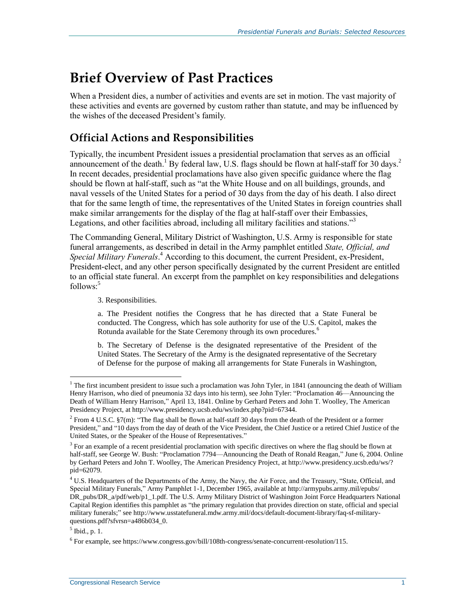# **Brief Overview of Past Practices**

When a President dies, a number of activities and events are set in motion. The vast majority of these activities and events are governed by custom rather than statute, and may be influenced by the wishes of the deceased President's family.

## **Official Actions and Responsibilities**

Typically, the incumbent President issues a presidential proclamation that serves as an official announcement of the death.<sup>1</sup> By federal law, U.S. flags should be flown at half-staff for 30 days.<sup>2</sup> In recent decades, presidential proclamations have also given specific guidance where the flag should be flown at half-staff, such as "at the White House and on all buildings, grounds, and naval vessels of the United States for a period of 30 days from the day of his death. I also direct that for the same length of time, the representatives of the United States in foreign countries shall make similar arrangements for the display of the flag at half-staff over their Embassies, Legations, and other facilities abroad, including all military facilities and stations."<sup>3</sup>

The Commanding General, Military District of Washington, U.S. Army is responsible for state funeral arrangements, as described in detail in the Army pamphlet entitled *State, Official, and Special Military Funerals*. <sup>4</sup> According to this document, the current President, ex-President, President-elect, and any other person specifically designated by the current President are entitled to an official state funeral. An excerpt from the pamphlet on key responsibilities and delegations follows: 5

3. Responsibilities.

a. The President notifies the Congress that he has directed that a State Funeral be conducted. The Congress, which has sole authority for use of the U.S. Capitol, makes the Rotunda available for the State Ceremony through its own procedures.<sup>6</sup>

b. The Secretary of Defense is the designated representative of the President of the United States. The Secretary of the Army is the designated representative of the Secretary of Defense for the purpose of making all arrangements for State Funerals in Washington,

 $\overline{a}$ 

 $1$ <sup>1</sup> The first incumbent president to issue such a proclamation was John Tyler, in 1841 (announcing the death of William Henry Harrison, who died of pneumonia 32 days into his term), see John Tyler: "Proclamation 46—Announcing the Death of William Henry Harrison," April 13, 1841. Online by Gerhard Peters and John T. Woolley, The American Presidency Project, at http://www.presidency.ucsb.edu/ws/index.php?pid=67344.

 $2$  From 4 U.S.C. §7(m): "The flag shall be flown at half-staff 30 days from the death of the President or a former President," and "10 days from the day of death of the Vice President, the Chief Justice or a retired Chief Justice of the United States, or the Speaker of the House of Representatives."

<sup>&</sup>lt;sup>3</sup> For an example of a recent presidential proclamation with specific directives on where the flag should be flown at half-staff, see George W. Bush: "Proclamation 7794—Announcing the Death of Ronald Reagan," June 6, 2004. Online by Gerhard Peters and John T. Woolley, The American Presidency Project, at http://www.presidency.ucsb.edu/ws/? pid=62079.

<sup>&</sup>lt;sup>4</sup> U.S. Headquarters of the Departments of the Army, the Navy, the Air Force, and the Treasury, "State, Official, and Special Military Funerals," Army Pamphlet 1-1, December 1965, available at http://armypubs.army.mil/epubs/ DR\_pubs/DR\_a/pdf/web/p1\_1.pdf. The U.S. Army Military District of Washington Joint Force Headquarters National Capital Region identifies this pamphlet as "the primary regulation that provides direction on state, official and special military funerals;" see http://www.usstatefuneral.mdw.army.mil/docs/default-document-library/faq-sf-militaryquestions.pdf?sfvrsn=a486b034\_0.

<sup>5</sup> Ibid., p. 1.

 $6$  For example, see https://www.congress.gov/bill/108th-congress/senate-concurrent-resolution/115.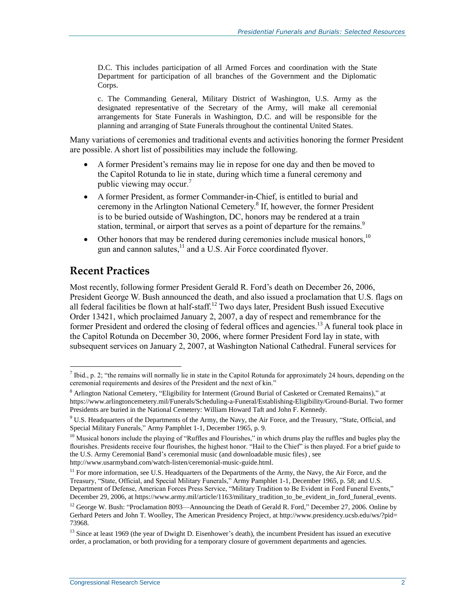D.C. This includes participation of all Armed Forces and coordination with the State Department for participation of all branches of the Government and the Diplomatic Corps.

c. The Commanding General, Military District of Washington, U.S. Army as the designated representative of the Secretary of the Army, will make all ceremonial arrangements for State Funerals in Washington, D.C. and will be responsible for the planning and arranging of State Funerals throughout the continental United States.

Many variations of ceremonies and traditional events and activities honoring the former President are possible. A short list of possibilities may include the following.

- A former President's remains may lie in repose for one day and then be moved to the Capitol Rotunda to lie in state, during which time a funeral ceremony and public viewing may occur. 7
- A former President, as former Commander-in-Chief, is entitled to burial and ceremony in the Arlington National Cemetery.<sup>8</sup> If, however, the former President is to be buried outside of Washington, DC, honors may be rendered at a train station, terminal, or airport that serves as a point of departure for the remains.<sup>9</sup>
- Other honors that may be rendered during ceremonies include musical honors,<sup>10</sup> gun and cannon salutes,<sup>11</sup> and a U.S. Air Force coordinated flyover.

#### **Recent Practices**

 $\overline{a}$ 

Most recently, following former President Gerald R. Ford's death on December 26, 2006, President George W. Bush announced the death, and also issued a proclamation that U.S. flags on all federal facilities be flown at half-staff.<sup>12</sup> Two days later, President Bush issued Executive Order 13421, which proclaimed January 2, 2007, a day of respect and remembrance for the former President and ordered the closing of federal offices and agencies.<sup>13</sup> A funeral took place in the Capitol Rotunda on December 30, 2006, where former President Ford lay in state, with subsequent services on January 2, 2007, at Washington National Cathedral. Funeral services for

 $^7$  Ibid., p. 2; "the remains will normally lie in state in the Capitol Rotunda for approximately 24 hours, depending on the ceremonial requirements and desires of the President and the next of kin."

<sup>8</sup> Arlington National Cemetery, "Eligibility for Interment (Ground Burial of Casketed or Cremated Remains)," at https://www.arlingtoncemetery.mil/Funerals/Scheduling-a-Funeral/Establishing-Eligibility/Ground-Burial. Two former Presidents are buried in the National Cemetery: William Howard Taft and John F. Kennedy.

 $9$  U.S. Headquarters of the Departments of the Army, the Navy, the Air Force, and the Treasury, "State, Official, and Special Military Funerals," Army Pamphlet 1-1, December 1965, p. 9.

<sup>&</sup>lt;sup>10</sup> Musical honors include the playing of "Ruffles and Flourishes," in which drums play the ruffles and bugles play the flourishes. Presidents receive four flourishes, the highest honor. "Hail to the Chief" is then played. For a brief guide to the U.S. Army Ceremonial Band's ceremonial music (and downloadable music files) , see http://www.usarmyband.com/watch-listen/ceremonial-music-guide.html.

<sup>&</sup>lt;sup>11</sup> For more information, see U.S. Headquarters of the Departments of the Army, the Navy, the Air Force, and the Treasury, "State, Official, and Special Military Funerals," Army Pamphlet 1-1, December 1965, p. 58; and U.S. Department of Defense, American Forces Press Service, "Military Tradition to Be Evident in Ford Funeral Events," December 29, 2006, at https://www.army.mil/article/1163/military\_tradition\_to\_be\_evident\_in\_ford\_funeral\_events.

<sup>&</sup>lt;sup>12</sup> George W. Bush: "Proclamation 8093—Announcing the Death of Gerald R. Ford," December 27, 2006. Online by Gerhard Peters and John T. Woolley, The American Presidency Project, at http://www.presidency.ucsb.edu/ws/?pid= 73968.

<sup>&</sup>lt;sup>13</sup> Since at least 1969 (the year of Dwight D. Eisenhower's death), the incumbent President has issued an executive order, a proclamation, or both providing for a temporary closure of government departments and agencies.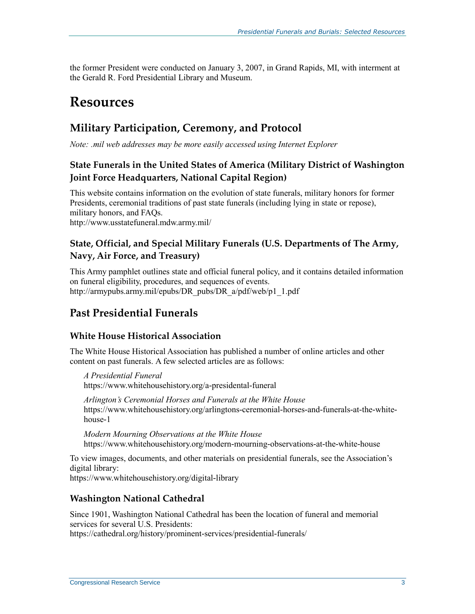the former President were conducted on January 3, 2007, in Grand Rapids, MI, with interment at the Gerald R. Ford Presidential Library and Museum.

# **Resources**

### **Military Participation, Ceremony, and Protocol**

*Note: .mil web addresses may be more easily accessed using Internet Explorer*

#### **State Funerals in the United States of America (Military District of Washington Joint Force Headquarters, National Capital Region)**

This website contains information on the evolution of state funerals, military honors for former Presidents, ceremonial traditions of past state funerals (including lying in state or repose), military honors, and FAQs. http://www.usstatefuneral.mdw.army.mil/

#### **State, Official, and Special Military Funerals (U.S. Departments of The Army, Navy, Air Force, and Treasury)**

This Army pamphlet outlines state and official funeral policy, and it contains detailed information on funeral eligibility, procedures, and sequences of events. [http://armypubs.army.mil/epubs/DR\\_pubs/DR\\_a/pdf/web/p1\\_1.pdf](http://armypubs.army.mil/epubs/DR_pubs/DR_a/pdf/web/p1_1.pdf)

### **Past Presidential Funerals**

#### **White House Historical Association**

The White House Historical Association has published a number of online articles and other content on past funerals. A few selected articles are as follows:

*A Presidential Funeral* https://www.whitehousehistory.org/a-presidental-funeral

*Arlington's Ceremonial Horses and Funerals at the White House* [https://www.whitehousehistory.org/arlingtons-ceremonial-horses-and-funerals-at-the-white](https://www.whitehousehistory.org/arlingtons-ceremonial-horses-and-funerals-at-the-white-house-1)[house-1](https://www.whitehousehistory.org/arlingtons-ceremonial-horses-and-funerals-at-the-white-house-1)

*Modern Mourning Observations at the White House* https://www.whitehousehistory.org/modern-mourning-observations-at-the-white-house

To view images, documents, and other materials on presidential funerals, see the Association's digital library:

<https://www.whitehousehistory.org/digital-library>

#### **Washington National Cathedral**

Since 1901, Washington National Cathedral has been the location of funeral and memorial services for several U.S. Presidents:

https://cathedral.org/history/prominent-services/presidential-funerals/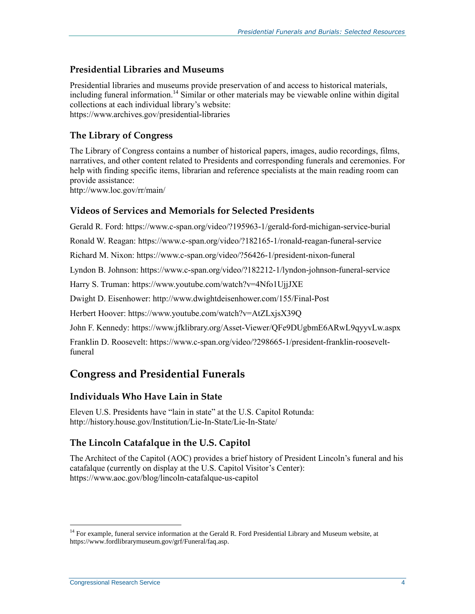#### **Presidential Libraries and Museums**

Presidential libraries and museums provide preservation of and access to historical materials, including funeral information. <sup>14</sup> Similar or other materials may be viewable online within digital collections at each individual library's website: <https://www.archives.gov/presidential-libraries>

#### **The Library of Congress**

The Library of Congress contains a number of historical papers, images, audio recordings, films, narratives, and other content related to Presidents and corresponding funerals and ceremonies. For help with finding specific items, librarian and reference specialists at the main reading room can provide assistance:

http://www.loc.gov/rr/main/

#### **Videos of Services and Memorials for Selected Presidents**

Gerald R. Ford:<https://www.c-span.org/video/?195963-1/gerald-ford-michigan-service-burial>

Ronald W. Reagan: https://www.c-span.org/video/?182165-1/ronald-reagan-funeral-service

Richard M. Nixon:<https://www.c-span.org/video/?56426-1/president-nixon-funeral>

Lyndon B. Johnson: https://www.c-span.org/video/?182212-1/lyndon-johnson-funeral-service

Harry S. Truman:<https://www.youtube.com/watch?v=4Nfo1UjjJXE>

Dwight D. Eisenhower: http://www.dwightdeisenhower.com/155/Final-Post

Herbert Hoover:<https://www.youtube.com/watch?v=AtZLxjsX39Q>

John F. Kennedy: https://www.jfklibrary.org/Asset-Viewer/QFe9DUgbmE6ARwL9qyyvLw.aspx

Franklin D. Roosevelt: [https://www.c-span.org/video/?298665-1/president-franklin-roosevelt](https://www.c-span.org/video/?298665-1/president-franklin-roosevelt-funeral)[funeral](https://www.c-span.org/video/?298665-1/president-franklin-roosevelt-funeral)

#### **Congress and Presidential Funerals**

#### **Individuals Who Have Lain in State**

Eleven U.S. Presidents have "lain in state" at the U.S. Capitol Rotunda: http://history.house.gov/Institution/Lie-In-State/Lie-In-State/

#### **The Lincoln Catafalque in the U.S. Capitol**

The Architect of the Capitol (AOC) provides a brief history of President Lincoln's funeral and his catafalque (currently on display at the U.S. Capitol Visitor's Center): <https://www.aoc.gov/blog/lincoln-catafalque-us-capitol>

 $\overline{a}$ 

<sup>&</sup>lt;sup>14</sup> For example, funeral service information at the Gerald R. Ford Presidential Library and Museum website, at https://www.fordlibrarymuseum.gov/grf/Funeral/faq.asp.